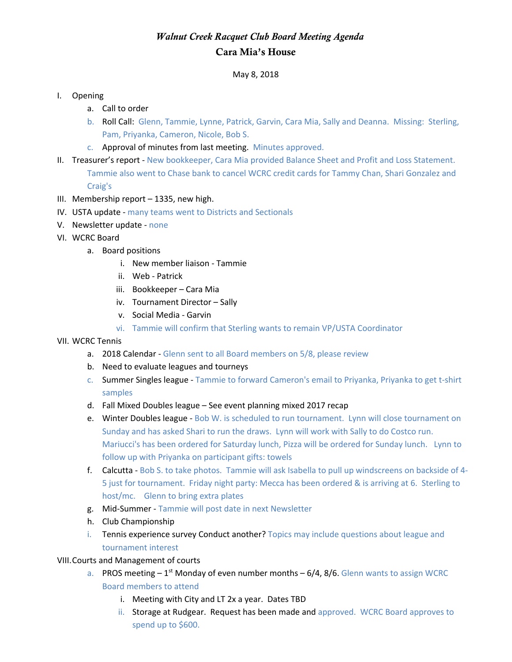## *Walnut Creek Racquet Club Board Meeting Agenda* Cara Mia's House

May 8, 2018

## I. Opening

- a. Call to order
- b. Roll Call: Glenn, Tammie, Lynne, Patrick, Garvin, Cara Mia, Sally and Deanna. Missing: Sterling, Pam, Priyanka, Cameron, Nicole, Bob S.
- c. Approval of minutes from last meeting. Minutes approved.
- II. Treasurer's report New bookkeeper, Cara Mia provided Balance Sheet and Profit and Loss Statement. Tammie also went to Chase bank to cancel WCRC credit cards for Tammy Chan, Shari Gonzalez and Craig's
- III. Membership report 1335, new high.
- IV. USTA update many teams went to Districts and Sectionals
- V. Newsletter update none
- VI. WCRC Board
	- a. Board positions
		- i. New member liaison Tammie
		- ii. Web Patrick
		- iii. Bookkeeper Cara Mia
		- iv. Tournament Director Sally
		- v. Social Media Garvin
		- vi. Tammie will confirm that Sterling wants to remain VP/USTA Coordinator
- VII. WCRC Tennis
	- a. 2018 Calendar Glenn sent to all Board members on 5/8, please review
	- b. Need to evaluate leagues and tourneys
	- c. Summer Singles league Tammie to forward Cameron's email to Priyanka, Priyanka to get t-shirt samples
	- d. Fall Mixed Doubles league See event planning mixed 2017 recap
	- e. Winter Doubles league Bob W. is scheduled to run tournament. Lynn will close tournament on Sunday and has asked Shari to run the draws. Lynn will work with Sally to do Costco run. Mariucci's has been ordered for Saturday lunch, Pizza will be ordered for Sunday lunch. Lynn to follow up with Priyanka on participant gifts: towels
	- f. Calcutta Bob S. to take photos. Tammie will ask Isabella to pull up windscreens on backside of 4- 5 just for tournament. Friday night party: Mecca has been ordered & is arriving at 6. Sterling to host/mc. Glenn to bring extra plates
	- g. Mid-Summer Tammie will post date in next Newsletter
	- h. Club Championship
	- i. Tennis experience survey Conduct another? Topics may include questions about league and tournament interest

VIII.Courts and Management of courts

- a. PROS meeting  $-1^{st}$  Monday of even number months  $-6/4$ , 8/6. Glenn wants to assign WCRC Board members to attend
	- i. Meeting with City and LT 2x a year. Dates TBD
	- ii. Storage at Rudgear. Request has been made and approved. WCRC Board approves to spend up to \$600.